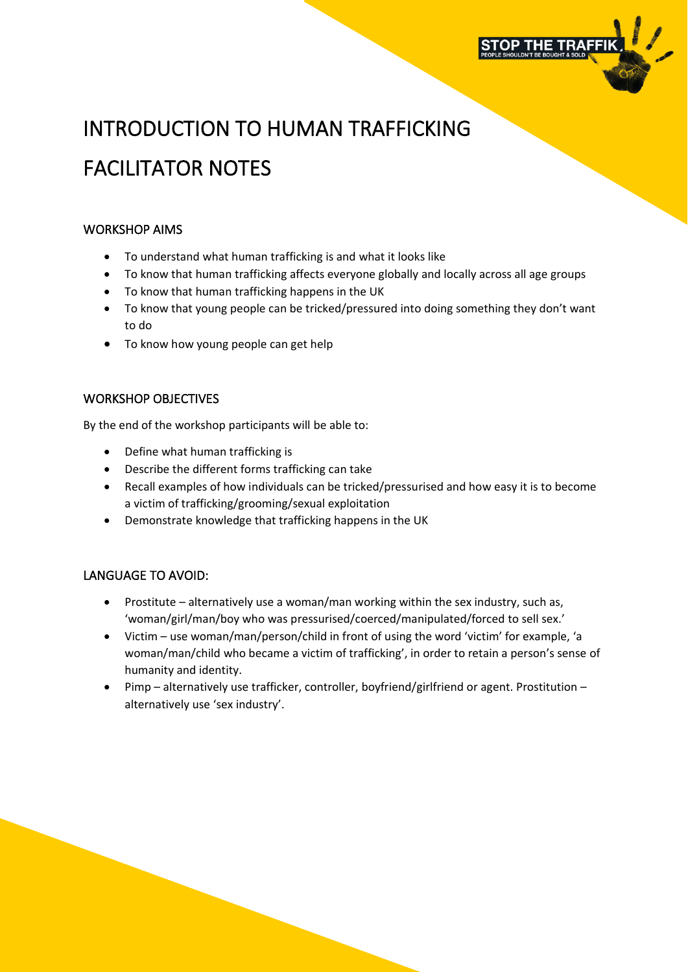

## INTRODUCTION TO HUMAN TRAFFICKING FACILITATOR NOTES

## WORKSHOP AIMS

- To understand what human trafficking is and what it looks like
- To know that human trafficking affects everyone globally and locally across all age groups
- To know that human trafficking happens in the UK
- To know that young people can be tricked/pressured into doing something they don't want to do
- To know how young people can get help

## WORKSHOP OBJECTIVES

By the end of the workshop participants will be able to:

- Define what human trafficking is
- Describe the different forms trafficking can take
- Recall examples of how individuals can be tricked/pressurised and how easy it is to become a victim of trafficking/grooming/sexual exploitation
- Demonstrate knowledge that trafficking happens in the UK

## LANGUAGE TO AVOID:

- Prostitute alternatively use a woman/man working within the sex industry, such as, 'woman/girl/man/boy who was pressurised/coerced/manipulated/forced to sell sex.'
- Victim use woman/man/person/child in front of using the word 'victim' for example, 'a woman/man/child who became a victim of trafficking', in order to retain a person's sense of humanity and identity.
- Pimp alternatively use trafficker, controller, boyfriend/girlfriend or agent. Prostitution alternatively use 'sex industry'.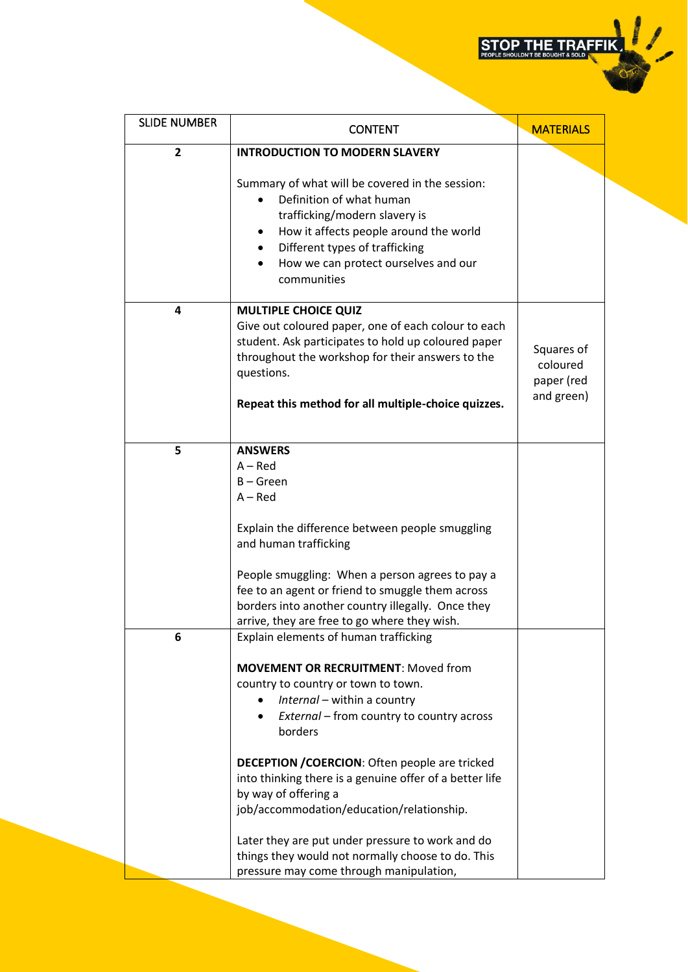STOP THE TRAFFIK

| <b>SLIDE NUMBER</b> | <b>CONTENT</b>                                                                                                                                                                                                                                                                                                                                                                                                                                                                                                                                                 | <b>MATERIALS</b>                                   |
|---------------------|----------------------------------------------------------------------------------------------------------------------------------------------------------------------------------------------------------------------------------------------------------------------------------------------------------------------------------------------------------------------------------------------------------------------------------------------------------------------------------------------------------------------------------------------------------------|----------------------------------------------------|
| $\overline{2}$      | <b>INTRODUCTION TO MODERN SLAVERY</b>                                                                                                                                                                                                                                                                                                                                                                                                                                                                                                                          |                                                    |
|                     | Summary of what will be covered in the session:<br>Definition of what human<br>trafficking/modern slavery is<br>How it affects people around the world<br>٠<br>Different types of trafficking<br>$\bullet$<br>How we can protect ourselves and our<br>communities                                                                                                                                                                                                                                                                                              |                                                    |
| 4                   | <b>MULTIPLE CHOICE QUIZ</b><br>Give out coloured paper, one of each colour to each<br>student. Ask participates to hold up coloured paper<br>throughout the workshop for their answers to the<br>questions.<br>Repeat this method for all multiple-choice quizzes.                                                                                                                                                                                                                                                                                             | Squares of<br>coloured<br>paper (red<br>and green) |
| 5                   | <b>ANSWERS</b><br>$A - Red$<br>$B - Green$<br>$A - Red$<br>Explain the difference between people smuggling<br>and human trafficking<br>People smuggling: When a person agrees to pay a<br>fee to an agent or friend to smuggle them across<br>borders into another country illegally. Once they<br>arrive, they are free to go where they wish.                                                                                                                                                                                                                |                                                    |
| 6                   | Explain elements of human trafficking<br><b>MOVEMENT OR RECRUITMENT: Moved from</b><br>country to country or town to town.<br>Internal - within a country<br>External – from country to country across<br>borders<br><b>DECEPTION / COERCION: Often people are tricked</b><br>into thinking there is a genuine offer of a better life<br>by way of offering a<br>job/accommodation/education/relationship.<br>Later they are put under pressure to work and do<br>things they would not normally choose to do. This<br>pressure may come through manipulation, |                                                    |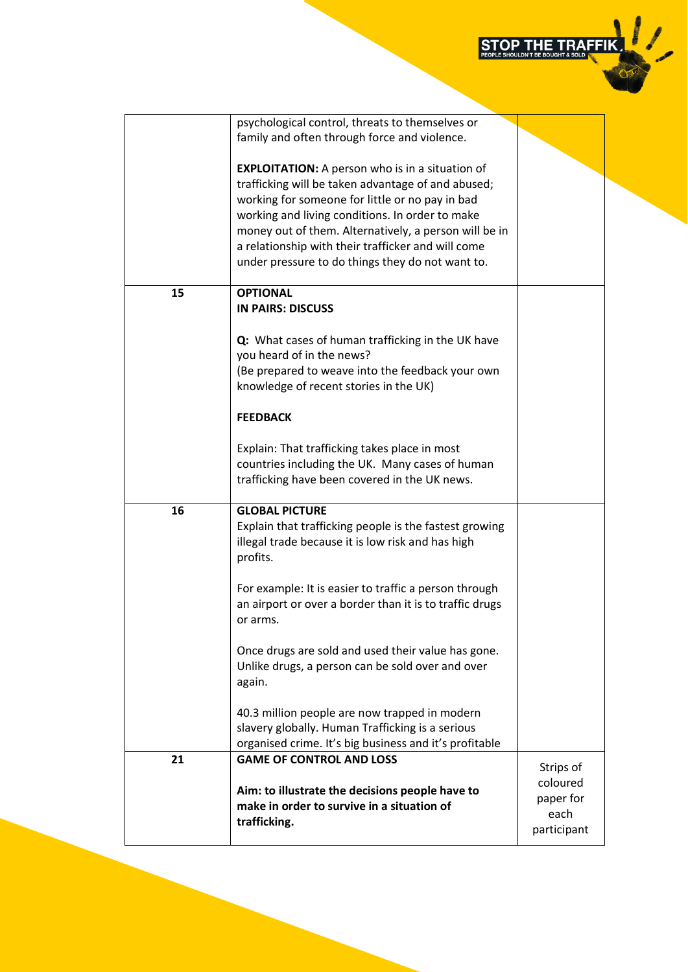STOP THE TRAFFIK

|    | psychological control, threats to themselves or         |             |
|----|---------------------------------------------------------|-------------|
|    | family and often through force and violence.            |             |
|    |                                                         |             |
|    |                                                         |             |
|    | <b>EXPLOITATION:</b> A person who is in a situation of  |             |
|    | trafficking will be taken advantage of and abused;      |             |
|    | working for someone for little or no pay in bad         |             |
|    | working and living conditions. In order to make         |             |
|    |                                                         |             |
|    | money out of them. Alternatively, a person will be in   |             |
|    | a relationship with their trafficker and will come      |             |
|    | under pressure to do things they do not want to.        |             |
|    |                                                         |             |
|    |                                                         |             |
| 15 | <b>OPTIONAL</b>                                         |             |
|    | <b>IN PAIRS: DISCUSS</b>                                |             |
|    |                                                         |             |
|    | Q: What cases of human trafficking in the UK have       |             |
|    | you heard of in the news?                               |             |
|    |                                                         |             |
|    | (Be prepared to weave into the feedback your own        |             |
|    | knowledge of recent stories in the UK)                  |             |
|    |                                                         |             |
|    | <b>FEEDBACK</b>                                         |             |
|    |                                                         |             |
|    |                                                         |             |
|    | Explain: That trafficking takes place in most           |             |
|    | countries including the UK. Many cases of human         |             |
|    | trafficking have been covered in the UK news.           |             |
|    |                                                         |             |
| 16 | <b>GLOBAL PICTURE</b>                                   |             |
|    |                                                         |             |
|    | Explain that trafficking people is the fastest growing  |             |
|    | illegal trade because it is low risk and has high       |             |
|    | profits.                                                |             |
|    |                                                         |             |
|    | For example: It is easier to traffic a person through   |             |
|    | an airport or over a border than it is to traffic drugs |             |
|    |                                                         |             |
|    | or arms.                                                |             |
|    |                                                         |             |
|    | Once drugs are sold and used their value has gone.      |             |
|    | Unlike drugs, a person can be sold over and over        |             |
|    | again.                                                  |             |
|    |                                                         |             |
|    |                                                         |             |
|    | 40.3 million people are now trapped in modern           |             |
|    | slavery globally. Human Trafficking is a serious        |             |
|    | organised crime. It's big business and it's profitable  |             |
| 21 | <b>GAME OF CONTROL AND LOSS</b>                         |             |
|    |                                                         | Strips of   |
|    |                                                         | coloured    |
|    | Aim: to illustrate the decisions people have to         | paper for   |
|    | make in order to survive in a situation of              | each        |
|    | trafficking.                                            |             |
|    |                                                         | participant |
|    |                                                         |             |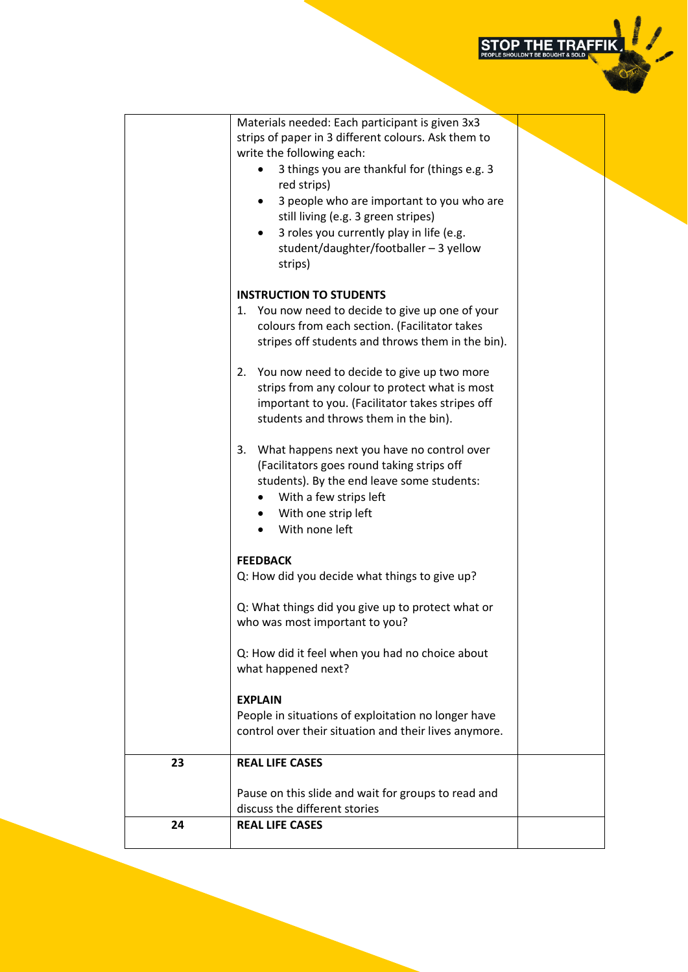

|    | Materials needed: Each participant is given 3x3<br>strips of paper in 3 different colours. Ask them to<br>write the following each:<br>3 things you are thankful for (things e.g. 3<br>red strips)<br>3 people who are important to you who are<br>still living (e.g. 3 green stripes)<br>3 roles you currently play in life (e.g.<br>student/daughter/footballer - 3 yellow<br>strips) |  |
|----|-----------------------------------------------------------------------------------------------------------------------------------------------------------------------------------------------------------------------------------------------------------------------------------------------------------------------------------------------------------------------------------------|--|
|    | <b>INSTRUCTION TO STUDENTS</b>                                                                                                                                                                                                                                                                                                                                                          |  |
|    | You now need to decide to give up one of your<br>1.<br>colours from each section. (Facilitator takes<br>stripes off students and throws them in the bin).                                                                                                                                                                                                                               |  |
|    | You now need to decide to give up two more<br>2.<br>strips from any colour to protect what is most<br>important to you. (Facilitator takes stripes off<br>students and throws them in the bin).                                                                                                                                                                                         |  |
|    | What happens next you have no control over<br>3.<br>(Facilitators goes round taking strips off<br>students). By the end leave some students:<br>With a few strips left<br>With one strip left<br>٠<br>With none left                                                                                                                                                                    |  |
|    | <b>FEEDBACK</b><br>Q: How did you decide what things to give up?                                                                                                                                                                                                                                                                                                                        |  |
|    | Q: What things did you give up to protect what or<br>who was most important to you?                                                                                                                                                                                                                                                                                                     |  |
|    | Q: How did it feel when you had no choice about<br>what happened next?                                                                                                                                                                                                                                                                                                                  |  |
|    | <b>EXPLAIN</b>                                                                                                                                                                                                                                                                                                                                                                          |  |
|    | People in situations of exploitation no longer have<br>control over their situation and their lives anymore.                                                                                                                                                                                                                                                                            |  |
| 23 | <b>REAL LIFE CASES</b>                                                                                                                                                                                                                                                                                                                                                                  |  |
|    | Pause on this slide and wait for groups to read and<br>discuss the different stories                                                                                                                                                                                                                                                                                                    |  |
| 24 | <b>REAL LIFE CASES</b>                                                                                                                                                                                                                                                                                                                                                                  |  |
|    |                                                                                                                                                                                                                                                                                                                                                                                         |  |